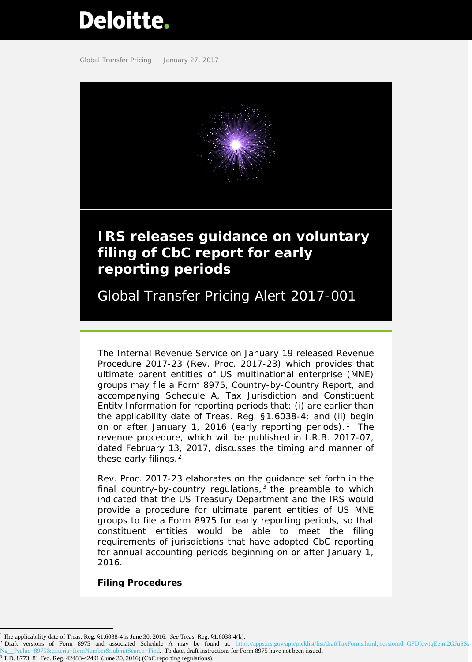# <span id="page-0-3"></span>**Deloitte.**

Global Transfer Pricing | January 27, 2017



The Internal Revenue Service on January 19 released Revenue Procedure 2017-23 (Rev. Proc. 2017-23) which provides that ultimate parent entities of US multinational enterprise (MNE) groups may file a Form 8975, Country-by-Country Report, and accompanying Schedule A, Tax Jurisdiction and Constituent Entity Information for reporting periods that: (i) are earlier than the applicability date of Treas. Reg. §1.6038-4; and (ii) begin on or after January [1](#page-0-0), 2016 (early reporting periods).<sup>1</sup> The revenue procedure, which will be published in I.R.B. 2017-07, dated February 13, 2017, discusses the timing and manner of these early filings.<sup>[2](#page-0-1)</sup>

Rev. Proc. 2017-23 elaborates on the guidance set forth in the final country-by-country regulations,  $3$  the preamble to which indicated that the US Treasury Department and the IRS would provide a procedure for ultimate parent entities of US MNE groups to file a Form 8975 for early reporting periods, so that constituent entities would be able to meet the filing requirements of jurisdictions that have adopted CbC reporting for annual accounting periods beginning on or after January 1, 2016.

# **Filing Procedures**

I

<span id="page-0-0"></span><sup>1</sup> The applicability date of Treas. Reg. §1.6038-4 is June 30, 2016. *See* Treas. Reg. §1.6038-4(k).

<span id="page-0-2"></span><span id="page-0-1"></span><sup>&</sup>lt;sup>2</sup> Draft versions of Form 8975 and associated Schedule A may be found at: https://apps.irs.gov/app/picklist/list/draftTaxForms.html;jsessionid=GFDfcwtqEejm2GJuSSs Ng<sub>\_2</sub> ?value=8975&criteria=formNumber&submitSearch=Find. To date, draft instructions for Form 8975 have not been issued. <sup>3</sup> T.D. 8773, 81 Fed. Reg. 42483-42491 (June 30, 2016) (CbC reporting regulations).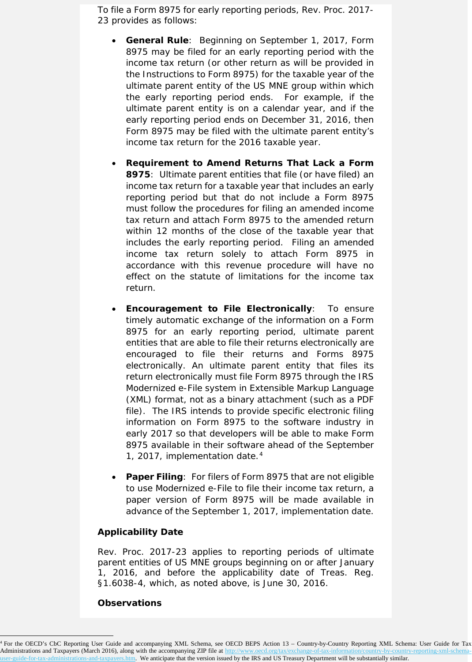To file a Form 8975 for early reporting periods, Rev. Proc. 2017- 23 provides as follows:

- **General Rule**: Beginning on September 1, 2017, Form 8975 may be filed for an early reporting period with the income tax return (or other return as will be provided in the Instructions to Form 8975) for the taxable year of the ultimate parent entity of the US MNE group within which the early reporting period ends. For example, if the ultimate parent entity is on a calendar year, and if the early reporting period ends on December 31, 2016, then Form 8975 may be filed with the ultimate parent entity's income tax return for the 2016 taxable year.
- **Requirement to Amend Returns That Lack a Form 8975**: Ultimate parent entities that file (or have filed) an income tax return for a taxable year that includes an early reporting period but that do not include a Form 8975 must follow the procedures for filing an amended income tax return and attach Form 8975 to the amended return within 12 months of the close of the taxable year that includes the early reporting period. Filing an amended income tax return solely to attach Form 8975 in accordance with this revenue procedure will have no effect on the statute of limitations for the income tax return.
- **Encouragement to File Electronically**: To ensure timely automatic exchange of the information on a Form 8975 for an early reporting period, ultimate parent entities that are able to file their returns electronically are encouraged to file their returns and Forms 8975 electronically. An ultimate parent entity that files its return electronically must file Form 8975 through the IRS Modernized e-File system in Extensible Markup Language (XML) format, not as a binary attachment (such as a PDF file). The IRS intends to provide specific electronic filing information on Form 8975 to the software industry in early 2017 so that developers will be able to make Form 8975 available in their software ahead of the September 1, 2017, implementation date.[4](#page-1-0)
- **Paper Filing**: For filers of Form 8975 that are not eligible to use Modernized e-File to file their income tax return, a paper version of Form 8975 will be made available in advance of the September 1, 2017, implementation date.

## **Applicability Date**

Rev. Proc. 2017-23 applies to reporting periods of ultimate parent entities of US MNE groups beginning on or after January 1, 2016, and before the applicability date of Treas. Reg. §1.6038-4, which, as noted above, is June 30, 2016.

#### **Observations**

l

<span id="page-1-0"></span><sup>4</sup> For the OECD's CbC Reporting User Guide and accompanying XML Schema, see OECD BEPS Action 13 – Country-by-Country Reporting XML Schema: User Guide for Tax Administrations and Taxpayers (March 2016), along with the accompanying ZIP file a[t http://www.oecd.org/tax/exchange-of-tax-information/country-by-country-reporting-xml-schema](http://www.oecd.org/tax/exchange-of-tax-information/country-by-country-reporting-xml-schema-user-guide-for-tax-administrations-and-taxpayers.htm)and-taxpayers.htm. We anticipate that the version issued by the IRS and US Treasury Department will be substantially similar.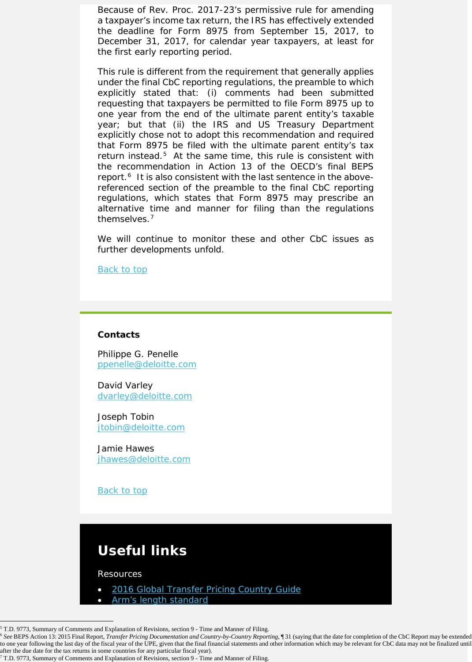Because of Rev. Proc. 2017-23's permissive rule for amending a taxpayer's income tax return, the IRS has effectively extended the deadline for Form 8975 from September 15, 2017, to December 31, 2017, for calendar year taxpayers, at least for the first early reporting period.

This rule is different from the requirement that generally applies under the final CbC reporting regulations, the preamble to which explicitly stated that: (i) comments had been submitted requesting that taxpayers be permitted to file Form 8975 up to one year from the end of the ultimate parent entity's taxable year; but that (ii) the IRS and US Treasury Department explicitly chose not to adopt this recommendation and required that Form 8975 be filed with the ultimate parent entity's tax return instead.<sup>[5](#page-2-0)</sup> At the same time, this rule is consistent with the recommendation in Action 13 of the OECD's final BEPS report.<sup>[6](#page-2-1)</sup> It is also consistent with the last sentence in the abovereferenced section of the preamble to the final CbC reporting regulations, which states that Form 8975 may prescribe an alternative time and manner for filing than the regulations themselves.[7](#page-2-2)

We will continue to monitor these and other CbC issues as further developments unfold.

Back to top

## **Contacts**

Philippe G. Penelle [ppenelle@deloitte.com](mailto:ppenelle@deloitte.com) 

David Varley [dvarley@deloitte.com](mailto:dvarley@deloitte.com)

Joseph Tobin [jtobin@deloitte.com](mailto:jtobin@deloitte.com)

Jamie Hawes [jhawes@deloitte.com](mailto:jhawes@deloitte.com)

Back to top

# **Useful links**

Resources

- [2016 Global Transfer Pricing Country Guide](https://www2.deloitte.com/us/en/pages/tax/articles/global-transfer-pricing-country-guide.html)
- [Arm's length standard](http://www2.deloitte.com/global/en/pages/tax/articles/arms-length-standard.html)

 $\overline{a}$  $5$  T.D. 9773, Summary of Comments and Explanation of Revisions, section 9 - Time and Manner of Filing.

<span id="page-2-1"></span><span id="page-2-0"></span><sup>6</sup> *See* BEPS Action 13: 2015 Final Report, *Transfer Pricing Documentation and Country-by-Country Reporting*, ¶ 31 (saying that the date for completion of the CbC Report may be extended to one year following the last day of the fiscal year of the UPE, given that the final financial statements and other information which may be relevant for CbC data may not be finalized until after the due date for the tax returns in some countries for any particular fiscal year).

<span id="page-2-2"></span><sup>7</sup> T.D. 9773, Summary of Comments and Explanation of Revisions, section 9 - Time and Manner of Filing.